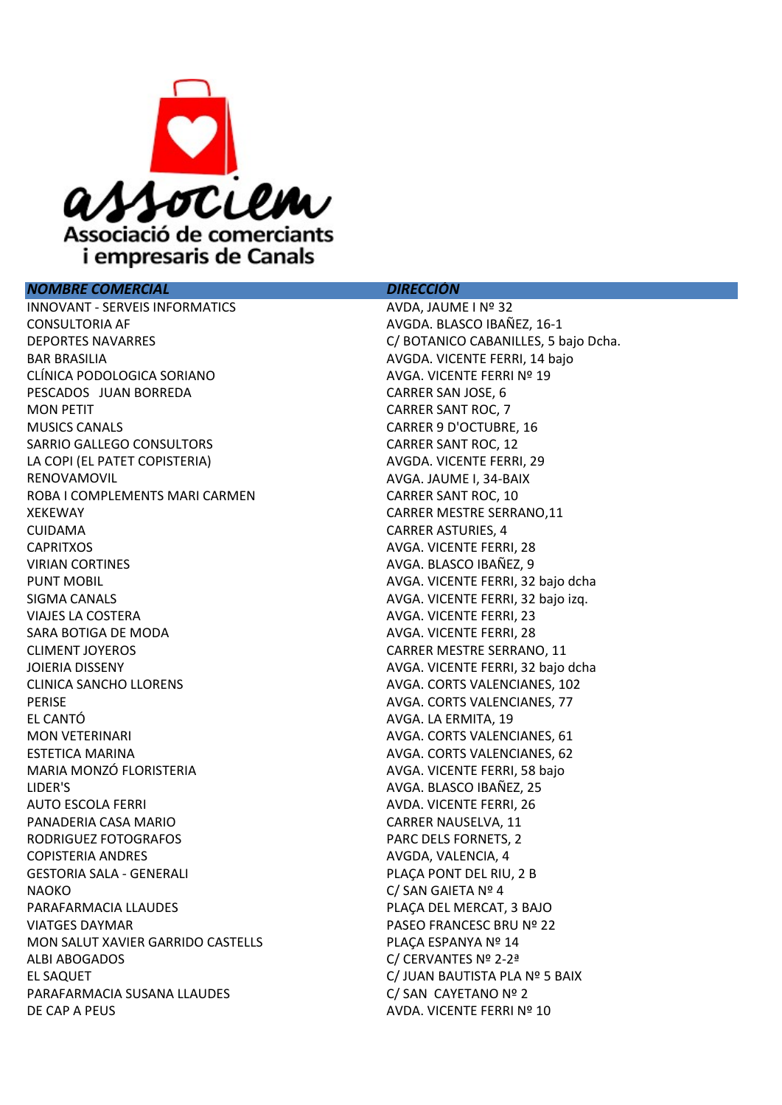

## NOMBRE COMERCIAL DIRECCIÓN

INNOVANT - SERVEIS INFORMATICS AVDA, JAUME I Nº 32 CONSULTORIA AF AVGDA. BLASCO IBAÑEZ, 16-1 DEPORTES NAVARRES C/ BOTANICO CABANILLES, 5 bajo Dcha. BAR BRASILIA **BAR BRASILIA** AVGDA. VICENTE FERRI, 14 bajo CLÍNICA PODOLOGICA SORIANO AVGA. VICENTE FERRI Nº 19 PESCADOS JUAN BORREDA CARRER SAN JOSE, 6 MON PETIT **CARRER SANT ROC.** 7 MUSICS CANALS CARRER 9 D'OCTUBRE, 16 SARRIO GALLEGO CONSULTORS CARRER SANT ROC, 12 LA COPI (EL PATET COPISTERIA) AVGDA. VICENTE FERRI, 29 RENOVAMOVIL **AVGA. IAUME I, 34-BAIX** ROBA I COMPLEMENTS MARI CARMEN CARRER SANT ROC, 10 XEKEWAY CARRER MESTRE SERRANO, 11 CUIDAMA CARRER ASTURIES, 4 CAPRITXOS **AVGA. VICENTE FERRI, 28** VIRIAN CORTINES AVGA. BLASCO IBAÑEZ, 9 PUNT MOBIL **PUNT MOBIL AVGA. VICENTE FERRI, 32 bajo dcha** SIGMA CANALS **AVGA. VICENTE FERRI, 32 bajo izq.** VIAJES LA COSTERA AVGA. VICENTE FERRI, 23 SARA BOTIGA DE MODA AVGA. VICENTE FERRI, 28 CLIMENT JOYEROS CARRER MESTRE SERRANO, 11 JOIERIA DISSENY AVGA. VICENTE FERRI, 32 bajo dcha CLINICA SANCHO LLORENS **AVGA. CORTS VALENCIANES**, 102 PERISE **PERISE AVGA. CORTS VALENCIANES, 77** EL CANTÓ AVGA. LA ERMITA, 19 MON VETERINARI AVGA. CORTS VALENCIANES, 61 ESTETICA MARINA **AVGA.** CORTS VALENCIANES, 62 MARIA MONZÓ FLORISTERIA **AVGA. VICENTE FERRI, 58 bajo** LIDER'S AVGA. BLASCO IBAÑEZ, 25 AUTO ESCOLA FERRI AUTO ESCOLA FERRI AUDA. VICENTE FERRI, 26 PANADERIA CASA MARIO CARRER NAUSELVA, 11 RODRIGUEZ FOTOGRAFOS PARC DELS FORNETS, 2 COPISTERIA ANDRES AVGDA, VALENCIA, 4 GESTORIA SALA - GENERALI **E ELECCIONALI E ELECCIONALI E PLAÇA PONT DEL RIU**, 2 B NAOKO C/ SAN GAIETA Nº 4 PARAFARMACIA LLAUDES PLAÇA DEL MERCAT, 3 BAJO VIATGES DAYMAR PASEO FRANCESC BRU Nº 22 MON SALUT XAVIER GARRIDO CASTELLS PLACA ESPANYA Nº 14 ALBI ABOGADOS C/ CERVANTES Nº 2-2ª EL SAQUET C/ JUAN BAUTISTA PLA Nº 5 BAIX PARAFARMACIA SUSANA LLAUDES C/ SAN CAYETANO Nº 2 DE CAP A PEUS AVOIT DE CAP A PEUS AVOIT DE CAP A PEUS AVOIT DE CAP A PEUS